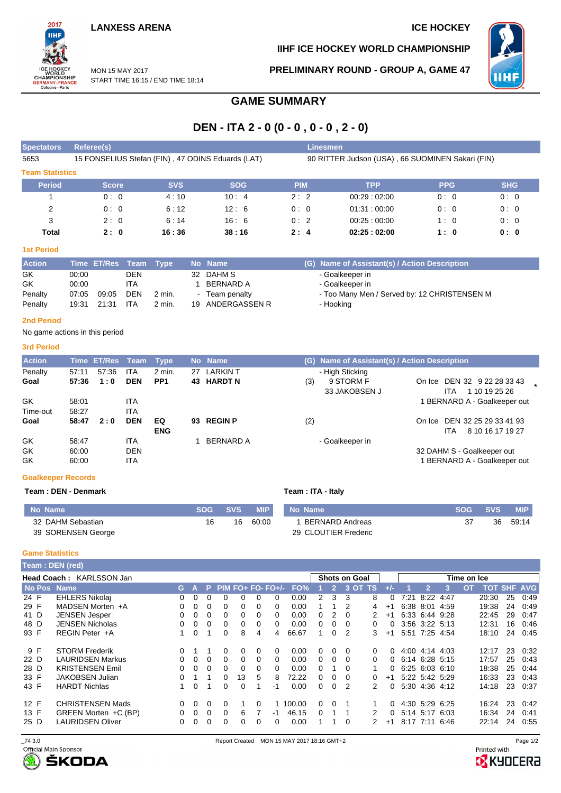## **LANXESS ARENA ICE HOCKEY**

2017 WORLD<br>CHAMPIONSHIP<br>GERMANY-FRANCI<br>Cologne - Paris

**IIHF ICE HOCKEY WORLD CHAMPIONSHIP**



MON 15 MAY 2017 START TIME 16:15 / END TIME 18:14 **PRELIMINARY ROUND - GROUP A, GAME 47**

# **GAME SUMMARY**

# **DEN - ITA 2 - 0 (0 - 0 , 0 - 0 , 2 - 0)**

| <b>Spectators</b>      | Referee(s)                                        |            |            | Linesmen                                         |             |            |            |  |  |  |  |  |  |  |
|------------------------|---------------------------------------------------|------------|------------|--------------------------------------------------|-------------|------------|------------|--|--|--|--|--|--|--|
| 5653                   | 15 FONSELIUS Stefan (FIN), 47 ODINS Eduards (LAT) |            |            | 90 RITTER Judson (USA), 66 SUOMINEN Sakari (FIN) |             |            |            |  |  |  |  |  |  |  |
| <b>Team Statistics</b> |                                                   |            |            |                                                  |             |            |            |  |  |  |  |  |  |  |
| <b>Period</b>          | <b>Score</b>                                      | <b>SVS</b> | <b>SOG</b> | <b>PIM</b>                                       | <b>TPP</b>  | <b>PPG</b> | <b>SHG</b> |  |  |  |  |  |  |  |
|                        | 0:0                                               | 4:10       | 10:4       | 2:2                                              | 00.29:02.00 | 0:0        | 0:0        |  |  |  |  |  |  |  |
| 2                      | 0:0                                               | 6:12       | 12:6       | 0:0                                              | 01:31:00:00 | 0:0        | 0:0        |  |  |  |  |  |  |  |
| 3                      | 2:0                                               | 6:14       | 16:6       | 0:2                                              | 00:25:00:00 | 1:0        | 0:0        |  |  |  |  |  |  |  |
| Total                  | 2:0                                               | 16:36      | 38:16      | 2:4                                              | 02:25:02:00 | 1:0        | 0:0        |  |  |  |  |  |  |  |

## **1st Period**

| <b>Action</b> |       | Time ET/Res Team Type |            |          | No Name          | (G) Name of Assistant(s) / Action Description |
|---------------|-------|-----------------------|------------|----------|------------------|-----------------------------------------------|
| GK            | 00:00 |                       | <b>DEN</b> |          | 32 DAHM S        | - Goalkeeper in                               |
| GK            | 00:00 |                       | <b>ITA</b> |          | BERNARD A        | - Goalkeeper in                               |
| Penalty       | 07:05 | 09:05                 | <b>DEN</b> | 2 min.   | - Team penalty   | - Too Many Men / Served by: 12 CHRISTENSEN M  |
| Penalty       |       | 19:31 21:31           | <b>ITA</b> | $2$ min. | 19 ANDERGASSEN R | - Hooking                                     |

#### **2nd Period**

No game actions in this period

## **3rd Period**

| <b>Action</b> |       | Time ET/Res Team |            | Type            |     | No Name          |     | (G) Name of Assistant(s) / Action Description |                                                     |
|---------------|-------|------------------|------------|-----------------|-----|------------------|-----|-----------------------------------------------|-----------------------------------------------------|
| Penalty       | 57:11 | 57.36            | ITA        | 2 min.          | 27  | <b>LARKIN T</b>  |     | - High Sticking                               |                                                     |
| Goal          | 57:36 | 1:0              | <b>DEN</b> | PP <sub>1</sub> |     | 43 HARDT N       | (3) | 9 STORM F<br>33 JAKOBSEN J                    | On Ice DEN 32 9 22 28 33 43<br>1 10 19 25 26<br>ITA |
| GK            | 58:01 |                  | ITA        |                 |     |                  |     |                                               | 1 BERNARD A - Goalkeeper out                        |
| Time-out      | 58:27 |                  | <b>ITA</b> |                 |     |                  |     |                                               |                                                     |
| Goal          | 58:47 | 2:0              | <b>DEN</b> | EQ              | 93. | <b>REGIN P</b>   | (2) |                                               | On Ice DEN 32 25 29 33 41 93                        |
|               |       |                  |            | <b>ENG</b>      |     |                  |     |                                               | 8 10 16 17 19 27<br>ITA.                            |
| GK            | 58.47 |                  | ITA        |                 |     | <b>BERNARD A</b> |     | - Goalkeeper in                               |                                                     |
| GK            | 60:00 |                  | <b>DEN</b> |                 |     |                  |     |                                               | 32 DAHM S - Goalkeeper out                          |
| GK            | 60:00 |                  | ITA        |                 |     |                  |     |                                               | 1 BERNARD A - Goalkeeper out                        |

## **Goalkeeper Records**

**Team : DEN - Denmark Team : ITA - Italy**

| No Name            | <b>SOG</b> | <b>SVS</b> | <b>MIP</b> | No Name              | <b>SOG</b> | <b>SVS</b> | <b>MIP</b> |
|--------------------|------------|------------|------------|----------------------|------------|------------|------------|
| 32 DAHM Sebastian  |            | 16         | 60:00      | BERNARD Andreas      |            | 36         | 59:14      |
| 39 SORENSEN George |            |            |            | 29 CLOUTIER Frederic |            |            |            |

### **Game Statistics**

|      | Team: DEN (red)          |    |          |    |   |    |   |                     |        |                      |                |          |               |      |                |                |      |    |                    |    |      |
|------|--------------------------|----|----------|----|---|----|---|---------------------|--------|----------------------|----------------|----------|---------------|------|----------------|----------------|------|----|--------------------|----|------|
|      | Head Coach: KARLSSON Jan |    |          |    |   |    |   |                     |        | <b>Shots on Goal</b> |                |          |               |      | Time on Ice    |                |      |    |                    |    |      |
|      | No Pos Name              | G. |          | P. |   |    |   | $PIM FO+ FO- FO+/-$ | FO%    |                      | $\overline{2}$ | $3$ OT   | TS.           |      |                | $\mathbf{2}$   | 3    | OΤ | <b>TOT SHF AVG</b> |    |      |
| 24 F | <b>EHLERS Nikolaj</b>    | 0  | 0        | 0  | 0 | 0  | 0 | 0                   | 0.00   | 2                    | 3              | 3        | 8             | 0    | 7:21           | 8:22 4:47      |      |    | 20:30              | 25 | 0:49 |
| 29 F | MADSEN Morten +A         |    | 0        | 0  | 0 | 0  | 0 | 0                   | 0.00   |                      |                | 2        | 4             | $+1$ |                | 6:38 8:01 4:59 |      |    | 19:38              | 24 | 0.49 |
| 41 D | <b>JENSEN Jesper</b>     |    | 0        | 0  | 0 | 0  | 0 | 0                   | 0.00   | 0                    | 2              | $\Omega$ |               | $+1$ |                | 6:33 6:44 9:28 |      |    | 22:45              | 29 | 0:47 |
| 48 D | <b>JENSEN Nicholas</b>   |    | 0        | 0  | 0 | 0  | 0 | 0                   | 0.00   | 0                    | 0              | $\Omega$ | 0             | 0    |                | 3:56 3:22 5:13 |      |    | 12:31              | 16 | 0:46 |
| 93 F | REGIN Peter +A           |    | 0        |    | 0 | 8  | 4 | 4                   | 66.67  |                      | 0              | 2        | 3             | $+1$ |                | 5:51 7:25 4:54 |      |    | 18:10              | 24 | 0.45 |
| 9 F  | <b>STORM Frederik</b>    |    |          |    | 0 | 0  | 0 | $\Omega$            | 0.00   | 0                    | 0              | $\Omega$ | <sup>n</sup>  | 0    |                | 4:00 4:14 4:03 |      |    | 12:17              | 23 | 0:32 |
| 22 D | <b>LAURIDSEN Markus</b>  |    | $\Omega$ | 0  | 0 | 0  | 0 | 0                   | 0.00   | 0                    | 0              | $\Omega$ | 0             | 0    | 6:14 6:28 5:15 |                |      |    | 17:57              | 25 | 0.43 |
| 28 D | <b>KRISTENSEN Emil</b>   | 0  | 0        | 0  | 0 | 0  | 0 | 0                   | 0.00   | 0                    |                | $\Omega$ |               | 0    | 6:25 6:03 6:10 |                |      |    | 18:38              | 25 | 0:44 |
| 33 F | <b>JAKOBSEN Julian</b>   |    |          |    | 0 | 13 | 5 | 8                   | 72.22  | 0                    | $\Omega$       | $\Omega$ | 0             | $+1$ |                | 5:22 5:42 5:29 |      |    | 16:33              | 23 | 0:43 |
| 43 F | <b>HARDT Nichlas</b>     |    | 0        |    | 0 | 0  |   | $-1$                | 0.00   | 0                    | 0              | 2        | $\mathcal{P}$ | 0    |                | 5:30 4:36 4:12 |      |    | 14:18              | 23 | 0:37 |
| 12 F | <b>CHRISTENSEN Mads</b>  | 0  | 0        | 0  | 0 |    | 0 |                     | 100.00 | 0                    | $\Omega$       |          |               | 0    | 4:30 5:29 6:25 |                |      |    | 16:24              | 23 | 0:42 |
| 13 F | GREEN Morten +C (BP)     |    | 0        | 0  | 0 | 6  |   | -1                  | 46.15  | 0                    |                |          |               | 0    |                | 5:14 5:17      | 6:03 |    | 16:34              | 24 | 0:41 |
| 25 D | <b>LAURIDSEN Oliver</b>  |    | 0        | 0  | 0 | 0  | 0 | 0                   | 0.00   |                      |                | 0        | 2             | $+1$ |                | 8:17 7:11      | 6:46 |    | 22:14              | 24 | 0:55 |